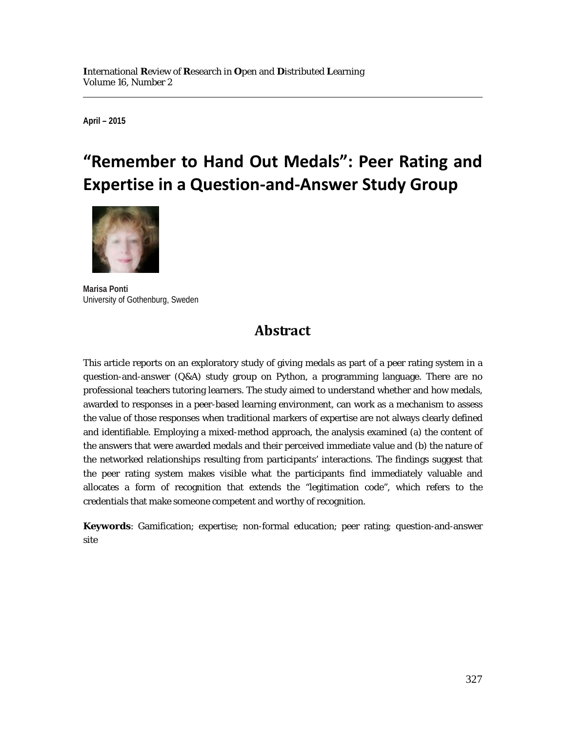**April – 2015**

# **"Remember to Hand Out Medals": Peer Rating and Expertise in a Question-and-Answer Study Group**



**Marisa Ponti** University of Gothenburg, Sweden

### **Abstract**

This article reports on an exploratory study of giving medals as part of a peer rating system in a question-and-answer (Q&A) study group on Python, a programming language. There are no professional teachers tutoring learners. The study aimed to understand whether and how medals, awarded to responses in a peer-based learning environment, can work as a mechanism to assess the value of those responses when traditional markers of expertise are not always clearly defined and identifiable. Employing a mixed-method approach, the analysis examined (a) the content of the answers that were awarded medals and their perceived immediate value and (b) the nature of the networked relationships resulting from participants' interactions. The findings suggest that the peer rating system makes visible what the participants find immediately valuable and allocates a form of recognition that extends the "legitimation code", which refers to the credentials that make someone competent and worthy of recognition.

**Keywords**: Gamification; expertise; non-formal education; peer rating; question-and-answer site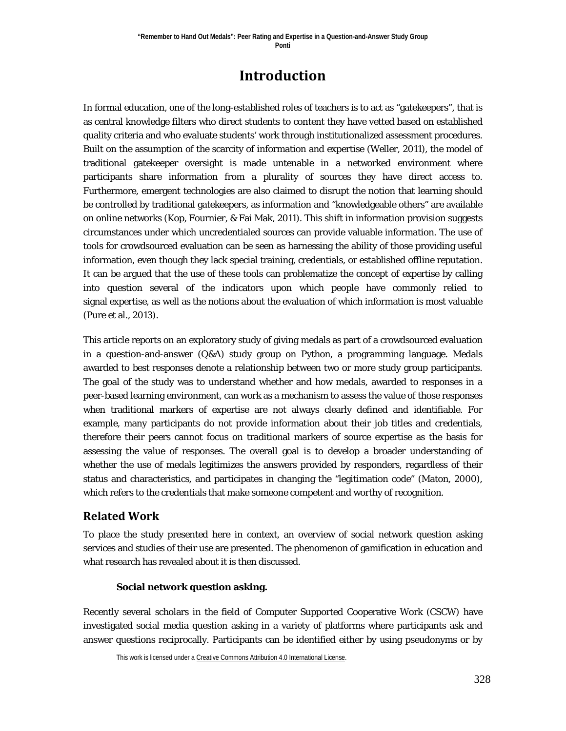### **Introduction**

In formal education, one of the long-established roles of teachers is to act as "gatekeepers", that is as central knowledge filters who direct students to content they have vetted based on established quality criteria and who evaluate students' work through institutionalized assessment procedures. Built on the assumption of the scarcity of information and expertise (Weller, 2011), the model of traditional gatekeeper oversight is made untenable in a networked environment where participants share information from a plurality of sources they have direct access to. Furthermore, emergent technologies are also claimed to disrupt the notion that learning should be controlled by traditional gatekeepers, as information and "knowledgeable others" are available on online networks (Kop, Fournier, & Fai Mak, 2011). This shift in information provision suggests circumstances under which uncredentialed sources can provide valuable information. The use of tools for crowdsourced evaluation can be seen as harnessing the ability of those providing useful information, even though they lack special training, credentials, or established offline reputation. It can be argued that the use of these tools can problematize the concept of expertise by calling into question several of the indicators upon which people have commonly relied to signal expertise, as well as the notions about the evaluation of which information is most valuable (Pure et al., 2013).

This article reports on an exploratory study of giving medals as part of a crowdsourced evaluation in a question-and-answer (Q&A) study group on Python, a programming language. Medals awarded to best responses denote a relationship between two or more study group participants. The goal of the study was to understand whether and how medals, awarded to responses in a peer-based learning environment, can work as a mechanism to assess the value of those responses when traditional markers of expertise are not always clearly defined and identifiable. For example, many participants do not provide information about their job titles and credentials, therefore their peers cannot focus on traditional markers of source expertise as the basis for assessing the value of responses. The overall goal is to develop a broader understanding of whether the use of medals legitimizes the answers provided by responders, regardless of their status and characteristics, and participates in changing the "legitimation code" (Maton, 2000), which refers to the credentials that make someone competent and worthy of recognition.

#### **Related Work**

To place the study presented here in context, an overview of social network question asking services and studies of their use are presented. The phenomenon of gamification in education and what research has revealed about it is then discussed.

#### **Social network question asking.**

Recently several scholars in the field of Computer Supported Cooperative Work (CSCW) have investigated social media question asking in a variety of platforms where participants ask and answer questions reciprocally. Participants can be identified either by using pseudonyms or by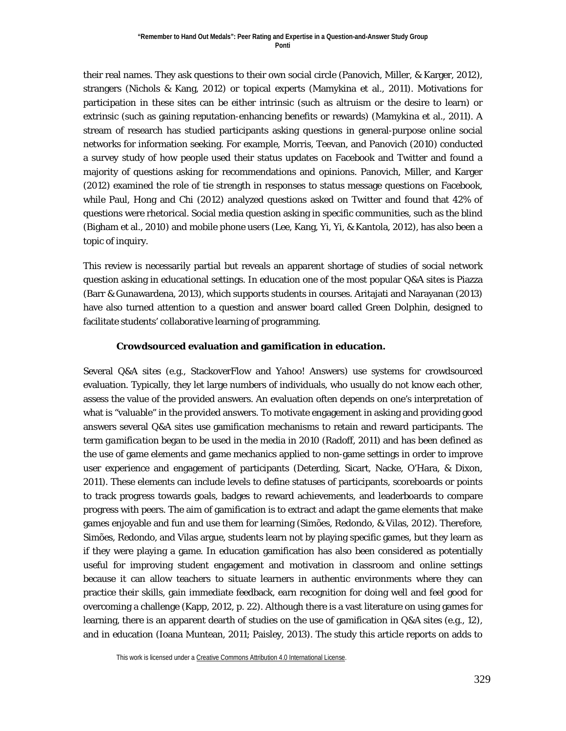their real names. They ask questions to their own social circle (Panovich, Miller, & Karger, 2012), strangers (Nichols & Kang, 2012) or topical experts (Mamykina et al., 2011). Motivations for participation in these sites can be either intrinsic (such as altruism or the desire to learn) or extrinsic (such as gaining reputation-enhancing benefits or rewards) (Mamykina et al., 2011). A stream of research has studied participants asking questions in general-purpose online social networks for information seeking. For example, Morris, Teevan, and Panovich (2010) conducted a survey study of how people used their status updates on Facebook and Twitter and found a majority of questions asking for recommendations and opinions. Panovich, Miller, and Karger (2012) examined the role of tie strength in responses to status message questions on Facebook, while Paul, Hong and Chi (2012) analyzed questions asked on Twitter and found that 42% of questions were rhetorical. Social media question asking in specific communities, such as the blind (Bigham et al., 2010) and mobile phone users (Lee, Kang, Yi, Yi, & Kantola, 2012), has also been a topic of inquiry.

This review is necessarily partial but reveals an apparent shortage of studies of social network question asking in educational settings. In education one of the most popular Q&A sites is Piazza (Barr & Gunawardena, 2013), which supports students in courses. Aritajati and Narayanan (2013) have also turned attention to a question and answer board called Green Dolphin, designed to facilitate students' collaborative learning of programming.

#### **Crowdsourced evaluation and gamification in education.**

Several Q&A sites (e.g., StackoverFlow and Yahoo! Answers) use systems for crowdsourced evaluation. Typically, they let large numbers of individuals, who usually do not know each other, assess the value of the provided answers. An evaluation often depends on one's interpretation of what is "valuable" in the provided answers. To motivate engagement in asking and providing good answers several Q&A sites use gamification mechanisms to retain and reward participants. The term *gamification* began to be used in the media in 2010 (Radoff, 2011) and has been defined as the use of game elements and game mechanics applied to non-game settings in order to improve user experience and engagement of participants (Deterding, Sicart, Nacke, O'Hara, & Dixon, 2011). These elements can include levels to define statuses of participants, scoreboards or points to track progress towards goals, badges to reward achievements, and leaderboards to compare progress with peers. The aim of gamification is to extract and adapt the game elements that make games enjoyable and fun and use them for learning (Simões, Redondo, & Vilas, 2012). Therefore, Simões, Redondo, and Vilas argue, students learn not by playing specific games, but they learn as if they were playing a game. In education gamification has also been considered as potentially useful for improving student engagement and motivation in classroom and online settings because it can allow teachers to situate learners in authentic environments where they can practice their skills, gain immediate feedback, earn recognition for doing well and feel good for overcoming a challenge (Kapp, 2012, p. 22). Although there is a vast literature on using games for learning, there is an apparent dearth of studies on the use of gamification in Q&A sites (e.g., 12), and in education (Ioana Muntean, 2011; Paisley, 2013). The study this article reports on adds to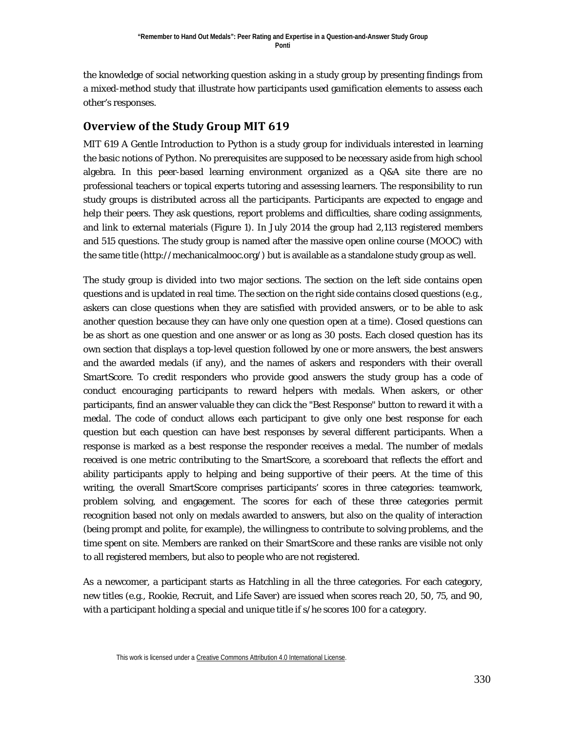the knowledge of social networking question asking in a study group by presenting findings from a mixed-method study that illustrate how participants used gamification elements to assess each other's responses.

#### **Overview of the Study Group MIT 619**

MIT 619 *A Gentle Introduction to Python* is a study group for individuals interested in learning the basic notions of Python. No prerequisites are supposed to be necessary aside from high school algebra. In this peer-based learning environment organized as a Q&A site there are no professional teachers or topical experts tutoring and assessing learners. The responsibility to run study groups is distributed across all the participants. Participants are expected to engage and help their peers. They ask questions, report problems and difficulties, share coding assignments, and link to external materials (Figure 1). In July 2014 the group had 2,113 registered members and 515 questions. The study group is named after the massive open online course (MOOC) with the same title (http://mechanicalmooc.org/) but is available as a standalone study group as well.

The study group is divided into two major sections. The section on the left side contains open questions and is updated in real time. The section on the right side contains closed questions (e.g., askers can close questions when they are satisfied with provided answers, or to be able to ask another question because they can have only one question open at a time). Closed questions can be as short as one question and one answer or as long as 30 posts. Each closed question has its own section that displays a top-level question followed by one or more answers, the best answers and the awarded medals (if any), and the names of askers and responders with their overall SmartScore. To credit responders who provide good answers the study group has a code of conduct encouraging participants to reward helpers with medals. When askers, or other participants, find an answer valuable they can click the "Best Response" button to reward it with a medal. The code of conduct allows each participant to give only one best response for each question but each question can have best responses by several different participants. When a response is marked as a best response the responder receives a medal. The number of medals received is one metric contributing to the SmartScore, a scoreboard that reflects the effort and ability participants apply to helping and being supportive of their peers. At the time of this writing, the overall SmartScore comprises participants' scores in three categories: teamwork, problem solving, and engagement. The scores for each of these three categories permit recognition based not only on medals awarded to answers, but also on the quality of interaction (being prompt and polite, for example), the willingness to contribute to solving problems, and the time spent on site. Members are ranked on their SmartScore and these ranks are visible not only to all registered members, but also to people who are not registered.

As a newcomer, a participant starts as Hatchling in all the three categories. For each category, new titles (e.g., Rookie, Recruit, and Life Saver) are issued when scores reach 20, 50, 75, and 90, with a participant holding a special and unique title if s/he scores 100 for a category.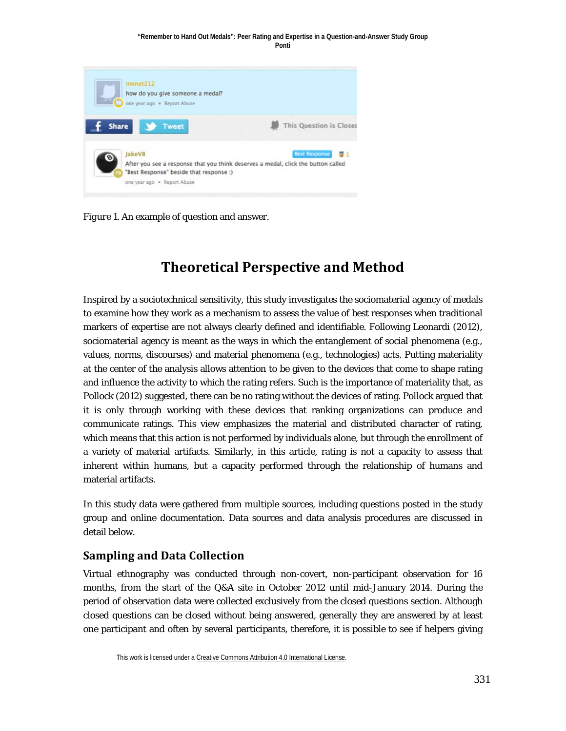

*Figure 1*. An example of question and answer.

## **Theoretical Perspective and Method**

Inspired by a sociotechnical sensitivity, this study investigates the sociomaterial agency of medals to examine how they work as a mechanism to assess the value of best responses when traditional markers of expertise are not always clearly defined and identifiable. Following Leonardi (2012), sociomaterial agency is meant as the ways in which the entanglement of social phenomena (e.g., values, norms, discourses) and material phenomena (e.g., technologies) acts. Putting materiality at the center of the analysis allows attention to be given to the devices that come to shape rating and influence the activity to which the rating refers. Such is the importance of materiality that, as Pollock (2012) suggested, there can be no rating without the devices of rating. Pollock argued that it is only through working with these devices that ranking organizations can produce and communicate ratings. This view emphasizes the material and distributed character of rating, which means that this action is not performed by individuals alone, but through the enrollment of a variety of material artifacts. Similarly, in this article, rating is not a capacity to assess that inherent within humans, but a capacity performed through the relationship of humans and material artifacts.

In this study data were gathered from multiple sources, including questions posted in the study group and online documentation. Data sources and data analysis procedures are discussed in detail below.

#### **Sampling and Data Collection**

Virtual ethnography was conducted through non-covert, non-participant observation for 16 months, from the start of the Q&A site in October 2012 until mid-January 2014. During the period of observation data were collected exclusively from the closed questions section. Although closed questions can be closed without being answered, generally they are answered by at least one participant and often by several participants, therefore, it is possible to see if helpers giving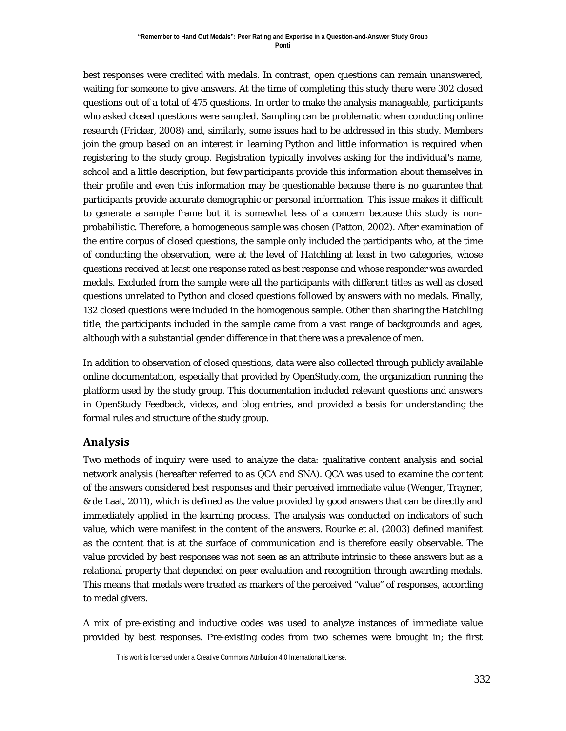best responses were credited with medals. In contrast, open questions can remain unanswered, waiting for someone to give answers. At the time of completing this study there were 302 closed questions out of a total of 475 questions. In order to make the analysis manageable, participants who asked closed questions were sampled. Sampling can be problematic when conducting online research (Fricker, 2008) and, similarly, some issues had to be addressed in this study. Members join the group based on an interest in learning Python and little information is required when registering to the study group. Registration typically involves asking for the individual's name, school and a little description, but few participants provide this information about themselves in their profile and even this information may be questionable because there is no guarantee that participants provide accurate demographic or personal information. This issue makes it difficult to generate a sample frame but it is somewhat less of a concern because this study is nonprobabilistic. Therefore, a homogeneous sample was chosen (Patton, 2002). After examination of the entire corpus of closed questions, the sample only included the participants who, at the time of conducting the observation, were at the level of Hatchling at least in two categories, whose questions received at least one response rated as best response and whose responder was awarded medals. Excluded from the sample were all the participants with different titles as well as closed questions unrelated to Python and closed questions followed by answers with no medals. Finally, 132 closed questions were included in the homogenous sample. Other than sharing the Hatchling title, the participants included in the sample came from a vast range of backgrounds and ages, although with a substantial gender difference in that there was a prevalence of men.

In addition to observation of closed questions, data were also collected through publicly available online documentation, especially that provided by OpenStudy.com, the organization running the platform used by the study group. This documentation included relevant questions and answers in OpenStudy Feedback, videos, and blog entries, and provided a basis for understanding the formal rules and structure of the study group.

#### **Analysis**

Two methods of inquiry were used to analyze the data: qualitative content analysis and social network analysis (hereafter referred to as QCA and SNA). QCA was used to examine the content of the answers considered best responses and their perceived immediate value (Wenger, Trayner, & de Laat, 2011), which is defined as the value provided by good answers that can be directly and immediately applied in the learning process. The analysis was conducted on indicators of such value, which were manifest in the content of the answers. Rourke et al. (2003) defined manifest as the content that is at the surface of communication and is therefore easily observable. The value provided by best responses was not seen as an attribute intrinsic to these answers but as a relational property that depended on peer evaluation and recognition through awarding medals. This means that medals were treated as markers of the perceived "value" of responses, according to medal givers.

A mix of pre-existing and inductive codes was used to analyze instances of immediate value provided by best responses. Pre-existing codes from two schemes were brought in; the first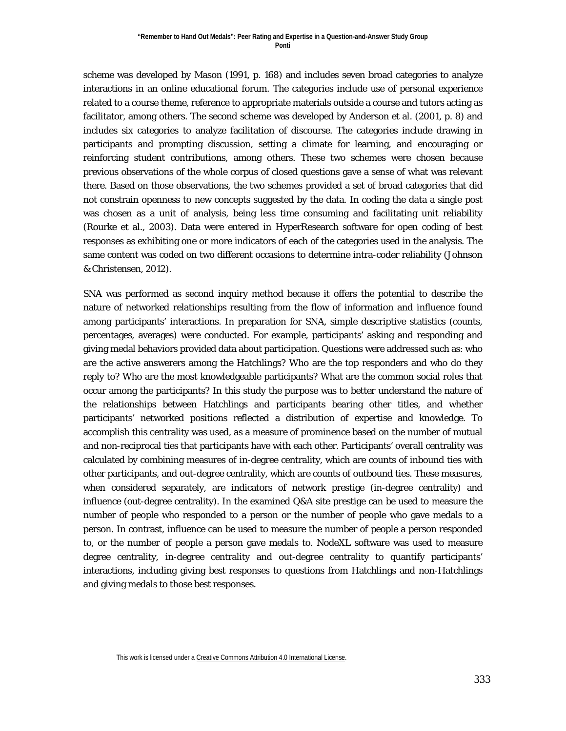scheme was developed by Mason (1991, p. 168) and includes seven broad categories to analyze interactions in an online educational forum. The categories include use of personal experience related to a course theme, reference to appropriate materials outside a course and tutors acting as facilitator, among others. The second scheme was developed by Anderson et al. (2001, p. 8) and includes six categories to analyze facilitation of discourse. The categories include drawing in participants and prompting discussion, setting a climate for learning, and encouraging or reinforcing student contributions, among others. These two schemes were chosen because previous observations of the whole corpus of closed questions gave a sense of what was relevant there. Based on those observations, the two schemes provided a set of broad categories that did not constrain openness to new concepts suggested by the data. In coding the data a single post was chosen as a unit of analysis, being less time consuming and facilitating unit reliability (Rourke et al., 2003). Data were entered in HyperResearch software for open coding of best responses as exhibiting one or more indicators of each of the categories used in the analysis. The same content was coded on two different occasions to determine intra-coder reliability (Johnson & Christensen, 2012).

SNA was performed as second inquiry method because it offers the potential to describe the nature of networked relationships resulting from the flow of information and influence found among participants' interactions. In preparation for SNA, simple descriptive statistics (counts, percentages, averages) were conducted. For example, participants' asking and responding and giving medal behaviors provided data about participation. Questions were addressed such as: who are the active answerers among the Hatchlings? Who are the top responders and who do they reply to? Who are the most knowledgeable participants? What are the common social roles that occur among the participants? In this study the purpose was to better understand the nature of the relationships between Hatchlings and participants bearing other titles, and whether participants' networked positions reflected a distribution of expertise and knowledge. To accomplish this centrality was used, as a measure of prominence based on the number of mutual and non-reciprocal ties that participants have with each other. Participants' overall centrality was calculated by combining measures of in-degree centrality, which are counts of inbound ties with other participants, and out-degree centrality, which are counts of outbound ties. These measures, when considered separately, are indicators of network prestige (in-degree centrality) and influence (out-degree centrality). In the examined Q&A site prestige can be used to measure the number of people who responded to a person or the number of people who gave medals to a person. In contrast, influence can be used to measure the number of people a person responded to, or the number of people a person gave medals to. NodeXL software was used to measure degree centrality, in-degree centrality and out-degree centrality to quantify participants' interactions, including giving best responses to questions from Hatchlings and non-Hatchlings and giving medals to those best responses.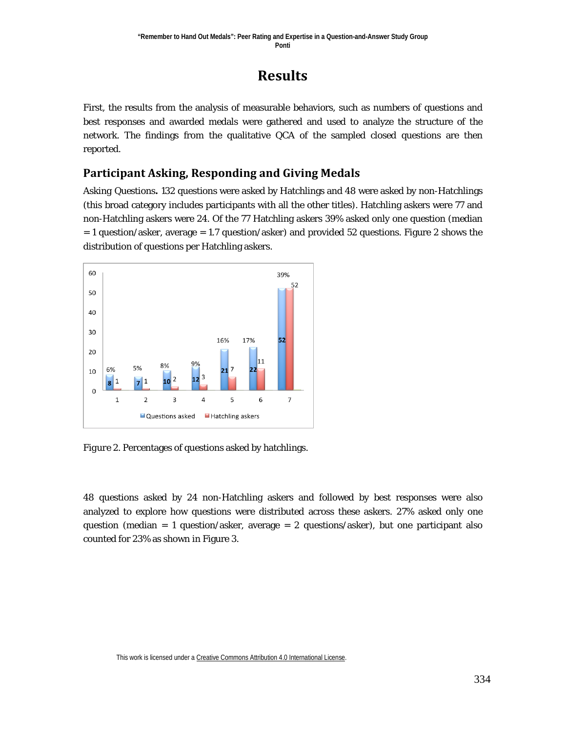## **Results**

First, the results from the analysis of measurable behaviors, such as numbers of questions and best responses and awarded medals were gathered and used to analyze the structure of the network. The findings from the qualitative QCA of the sampled closed questions are then reported.

### **Participant Asking, Responding and Giving Medals**

*Asking Questions.* 132 questions were asked by Hatchlings and 48 were asked by non-Hatchlings (this broad category includes participants with all the other titles). Hatchling askers were 77 and non-Hatchling askers were 24. Of the 77 Hatchling askers 39% asked only one question (median = 1 question/asker, average = 1.7 question/asker) and provided 52 questions. Figure 2 shows the distribution of questions per Hatchling askers.



*Figure 2*. Percentages of questions asked by hatchlings.

48 questions asked by 24 non-Hatchling askers and followed by best responses were also analyzed to explore how questions were distributed across these askers. 27% asked only one question (median = 1 question/asker, average = 2 questions/asker), but one participant also counted for 23% as shown in Figure 3.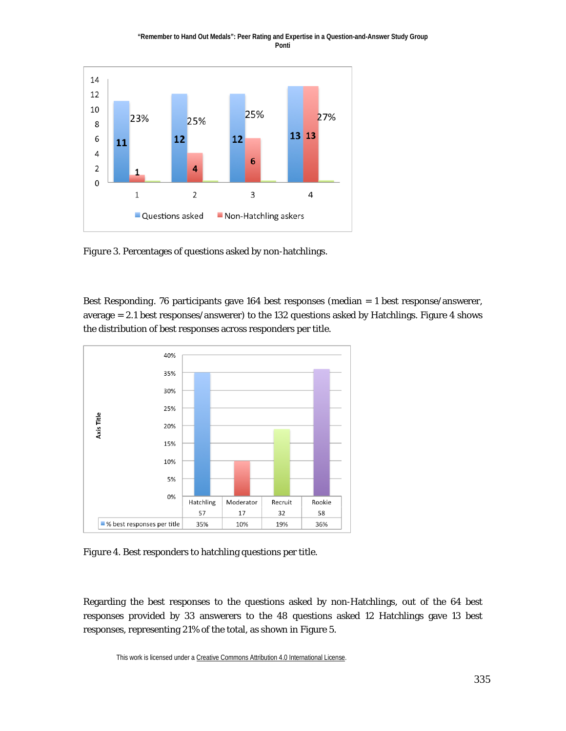**"Remember to Hand Out Medals": Peer Rating and Expertise in a Question-and-Answer Study Group Ponti**



*Figure 3*. Percentages of questions asked by non-hatchlings.

*Best Responding.* 76 participants gave 164 best responses (median = 1 best response/answerer, average = 2.1 best responses/answerer) to the 132 questions asked by Hatchlings. Figure 4 shows the distribution of best responses across responders per title.



*Figure 4.* Best responders to hatchling questions per title.

Regarding the best responses to the questions asked by non-Hatchlings, out of the 64 best responses provided by 33 answerers to the 48 questions asked 12 Hatchlings gave 13 best responses, representing 21% of the total, as shown in Figure 5.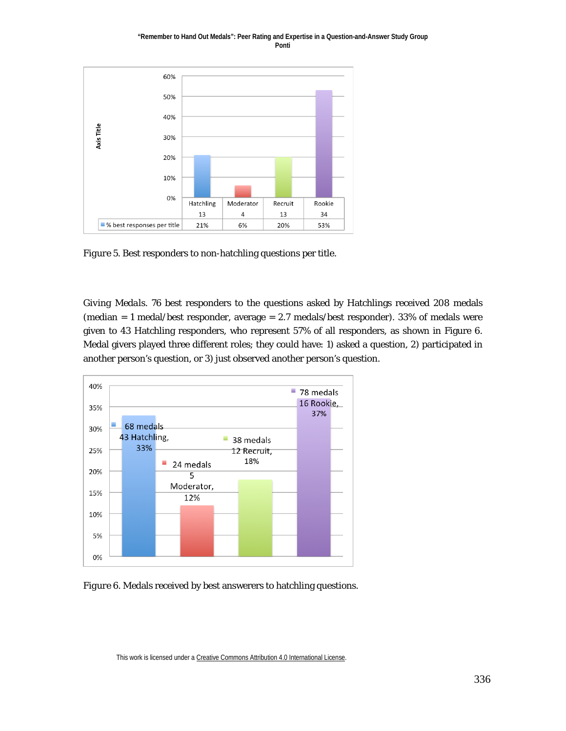

*Figure 5*. Best responders to non-hatchling questions per title.

*Giving Medals.* 76 best responders to the questions asked by Hatchlings received 208 medals (median = 1 medal/best responder, average = 2.7 medals/best responder). 33% of medals were given to 43 Hatchling responders, who represent 57% of all responders, as shown in Figure 6. Medal givers played three different roles; they could have: 1) asked a question, 2) participated in another person's question, or 3) just observed another person's question.



*Figure 6*. Medals received by best answerers to hatchling questions.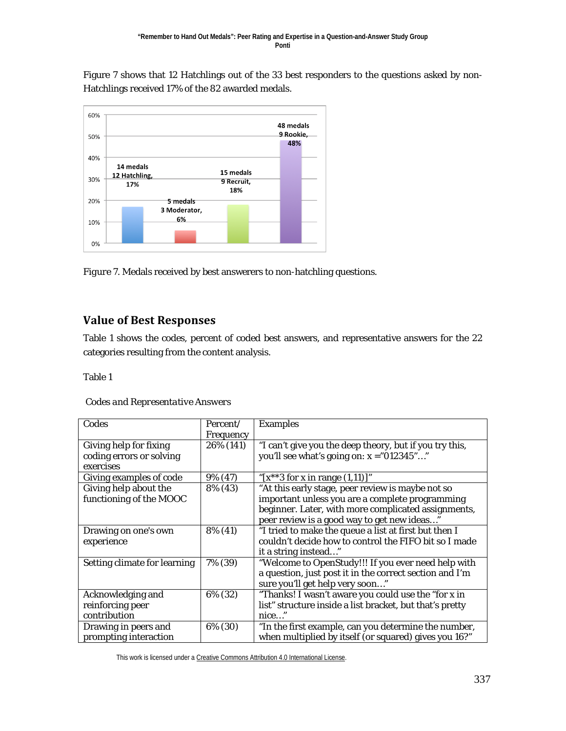Figure 7 shows that 12 Hatchlings out of the 33 best responders to the questions asked by non-Hatchlings received 17% of the 82 awarded medals.



*Figure 7.* Medals received by best answerers to non-hatchling questions.

#### **Value of Best Responses**

Table 1 shows the codes, percent of coded best answers, and representative answers for the 22 categories resulting from the content analysis.

Table 1

*Codes and Representative Answers*

| Codes                        | Percent/         | <b>Examples</b>                                          |
|------------------------------|------------------|----------------------------------------------------------|
|                              | <b>Frequency</b> |                                                          |
| Giving help for fixing       | 26% (141)        | "I can't give you the deep theory, but if you try this,  |
| coding errors or solving     |                  | you'll see what's going on: $x = 012345$ ""              |
| exercises                    |                  |                                                          |
| Giving examples of code      | 9% (47)          | "[ $x^{**}$ 3 for x in range (1,11)]"                    |
| Giving help about the        | 8% (43)          | "At this early stage, peer review is maybe not so        |
| functioning of the MOOC      |                  | important unless you are a complete programming          |
|                              |                  | beginner. Later, with more complicated assignments,      |
|                              |                  | peer review is a good way to get new ideas"              |
| Drawing on one's own         | 8% (41)          | "I tried to make the queue a list at first but then I    |
| experience                   |                  | couldn't decide how to control the FIFO bit so I made    |
|                              |                  | it a string instead"                                     |
| Setting climate for learning | 7% (39)          | "Welcome to OpenStudy!!! If you ever need help with      |
|                              |                  | a question, just post it in the correct section and I'm  |
|                              |                  | sure you'll get help very soon"                          |
| Acknowledging and            | 6% (32)          | "Thanks! I wasn't aware you could use the "for x in      |
| reinforcing peer             |                  | list" structure inside a list bracket, but that's pretty |
| contribution                 |                  | nice"                                                    |
| Drawing in peers and         | 6% (30)          | "In the first example, can you determine the number,     |
| prompting interaction        |                  | when multiplied by itself (or squared) gives you 16?"    |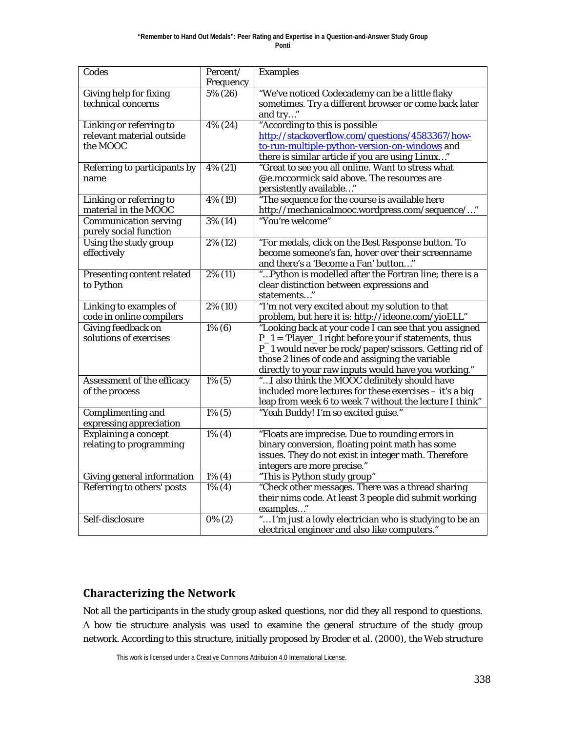| Codes                                                  | Percent/               | <b>Examples</b>                                                                                            |  |  |  |
|--------------------------------------------------------|------------------------|------------------------------------------------------------------------------------------------------------|--|--|--|
|                                                        | Frequency              |                                                                                                            |  |  |  |
| <b>Giving help for fixing</b>                          | $5\%$ (26)             | "We've noticed Codecademy can be a little flaky                                                            |  |  |  |
| technical concerns                                     |                        | sometimes. Try a different browser or come back later                                                      |  |  |  |
|                                                        |                        | and try"                                                                                                   |  |  |  |
| Linking or referring to                                | $4\% (24)$             | "According to this is possible                                                                             |  |  |  |
| relevant material outside                              |                        | http://stackoverflow.com/questions/4583367/how-                                                            |  |  |  |
| the MOOC                                               |                        | to-run-multiple-python-version-on-windows and                                                              |  |  |  |
|                                                        |                        | there is similar article if you are using Linux"                                                           |  |  |  |
| Referring to participants by                           | $4\%$ (21)             | "Great to see you all online. Want to stress what                                                          |  |  |  |
| name                                                   |                        | @e.mccormick said above. The resources are                                                                 |  |  |  |
|                                                        |                        | persistently available"                                                                                    |  |  |  |
| Linking or referring to                                | $4\%$ (19)             | "The sequence for the course is available here                                                             |  |  |  |
| material in the MOOC                                   |                        | http://mechanicalmooc.wordpress.com/sequence/"                                                             |  |  |  |
| <b>Communication serving</b>                           | $3\%$ (14)             | "You're welcome"                                                                                           |  |  |  |
| purely social function                                 |                        |                                                                                                            |  |  |  |
| Using the study group                                  | $2\%$ (12)             | "For medals, click on the Best Response button. To                                                         |  |  |  |
| effectively                                            |                        | become someone's fan, hover over their screenname                                                          |  |  |  |
|                                                        |                        | and there's a 'Become a Fan' button"                                                                       |  |  |  |
| Presenting content related                             | $2\%$ (11)             | " Python is modelled after the Fortran line; there is a                                                    |  |  |  |
| to Python                                              |                        | clear distinction between expressions and                                                                  |  |  |  |
|                                                        |                        | statements"                                                                                                |  |  |  |
| Linking to examples of                                 | $2\%$ (10)             | "I'm not very excited about my solution to that                                                            |  |  |  |
| code in online compilers                               |                        | problem, but here it is: http://ideone.com/yioELL"                                                         |  |  |  |
| Giving feedback on                                     | $1\%$ (6)              | "Looking back at your code I can see that you assigned                                                     |  |  |  |
| solutions of exercises                                 |                        | $P_1$ = 'Player_1 right before your if statements, thus                                                    |  |  |  |
|                                                        |                        | P_1 would never be rock/paper/scissors. Getting rid of                                                     |  |  |  |
|                                                        |                        | those 2 lines of code and assigning the variable                                                           |  |  |  |
|                                                        |                        | directly to your raw inputs would have you working."                                                       |  |  |  |
| Assessment of the efficacy                             | $1\%$ (5)              | " I also think the MOOC definitely should have                                                             |  |  |  |
| of the process                                         |                        | included more lectures for these exercises - it's a big                                                    |  |  |  |
|                                                        |                        | leap from week 6 to week 7 without the lecture I think"                                                    |  |  |  |
| <b>Complimenting and</b>                               | $1\%$ (5)              | "Yeah Buddy! I'm so excited guise."                                                                        |  |  |  |
| expressing appreciation<br><b>Explaining a concept</b> | $1\%$ (4)              |                                                                                                            |  |  |  |
|                                                        |                        | "Floats are imprecise. Due to rounding errors in                                                           |  |  |  |
| relating to programming                                |                        | binary conversion, floating point math has some<br>issues. They do not exist in integer math. Therefore    |  |  |  |
|                                                        |                        |                                                                                                            |  |  |  |
|                                                        |                        | integers are more precise."<br>"This is Python study group"                                                |  |  |  |
| Giving general information                             | $1\%$ (4)<br>$1\%$ (4) |                                                                                                            |  |  |  |
| Referring to others' posts                             |                        | "Check other messages. There was a thread sharing<br>their nims code. At least 3 people did submit working |  |  |  |
|                                                        |                        | examples"                                                                                                  |  |  |  |
| Self-disclosure                                        | $0\% (2)$              | " I'm just a lowly electrician who is studying to be an                                                    |  |  |  |
|                                                        |                        |                                                                                                            |  |  |  |
|                                                        |                        | electrical engineer and also like computers.'                                                              |  |  |  |

### **Characterizing the Network**

Not all the participants in the study group asked questions, nor did they all respond to questions. A bow tie structure analysis was used to examine the general structure of the study group network. According to this structure, initially proposed by Broder et al. (2000), the Web structure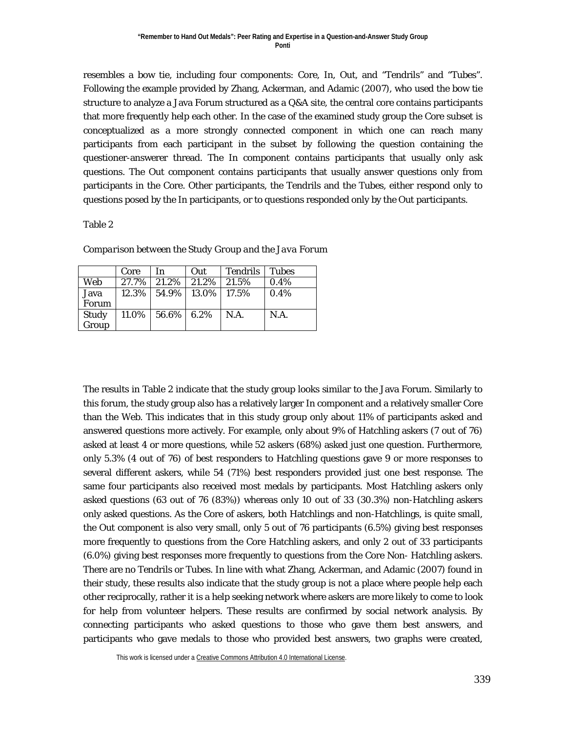resembles a bow tie, including four components: Core, In, Out, and "Tendrils" and "Tubes". Following the example provided by Zhang, Ackerman, and Adamic (2007), who used the bow tie structure to analyze a Java Forum structured as a Q&A site, the central core contains participants that more frequently help each other. In the case of the examined study group the Core subset is conceptualized as a more strongly connected component in which one can reach many participants from each participant in the subset by following the question containing the questioner-answerer thread. The In component contains participants that usually only ask questions. The Out component contains participants that usually answer questions only from participants in the Core. Other participants, the Tendrils and the Tubes, either respond only to questions posed by the In participants, or to questions responded only by the Out participants.

#### Table 2

|              | Core  | In         | Out                   | <b>Tendrils</b> | <b>Tubes</b> |
|--------------|-------|------------|-----------------------|-----------------|--------------|
| Web          | 27.7% | 21.2%      | 21.2%                 | 21.5%           | 0.4%         |
| Java         | 12.3% |            | 54.9%   13.0%   17.5% |                 | 0.4%         |
| Forum        |       |            |                       |                 |              |
| <b>Study</b> | 11.0% | 56.6% 6.2% |                       | N.A.            | N.A.         |
| Group        |       |            |                       |                 |              |

*Comparison between the Study Group and the Java Forum*

The results in Table 2 indicate that the study group looks similar to the Java Forum. Similarly to this forum, the study group also has a relatively larger In component and a relatively smaller Core than the Web. This indicates that in this study group only about 11% of participants asked and answered questions more actively. For example, only about 9% of Hatchling askers (7 out of 76) asked at least 4 or more questions, while 52 askers (68%) asked just one question. Furthermore, only 5.3% (4 out of 76) of best responders to Hatchling questions gave 9 or more responses to several different askers, while 54 (71%) best responders provided just one best response. The same four participants also received most medals by participants. Most Hatchling askers only asked questions (63 out of 76 (83%)) whereas only 10 out of 33 (30.3%) non-Hatchling askers only asked questions. As the Core of askers, both Hatchlings and non-Hatchlings, is quite small, the Out component is also very small, only 5 out of 76 participants (6.5%) giving best responses more frequently to questions from the Core Hatchling askers, and only 2 out of 33 participants (6.0%) giving best responses more frequently to questions from the Core Non- Hatchling askers. There are no Tendrils or Tubes. In line with what Zhang, Ackerman, and Adamic (2007) found in their study, these results also indicate that the study group is not a place where people help each other reciprocally, rather it is a help seeking network where askers are more likely to come to look for help from volunteer helpers. These results are confirmed by social network analysis. By connecting participants who asked questions to those who gave them best answers, and participants who gave medals to those who provided best answers, two graphs were created,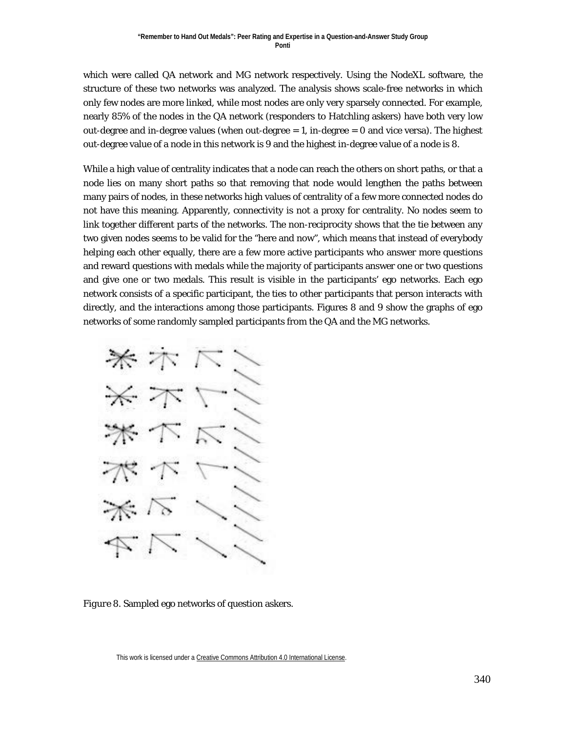which were called QA network and MG network respectively. Using the NodeXL software, the structure of these two networks was analyzed. The analysis shows scale-free networks in which only few nodes are more linked, while most nodes are only very sparsely connected. For example, nearly 85% of the nodes in the QA network (responders to Hatchling askers) have both very low out-degree and in-degree values (when out-degree  $= 1$ , in-degree  $= 0$  and vice versa). The highest out-degree value of a node in this network is 9 and the highest in-degree value of a node is 8.

While a high value of centrality indicates that a node can reach the others on short paths, or that a node lies on many short paths so that removing that node would lengthen the paths between many pairs of nodes, in these networks high values of centrality of a few more connected nodes do not have this meaning. Apparently, connectivity is not a proxy for centrality. No nodes seem to link together different parts of the networks. The non-reciprocity shows that the tie between any two given nodes seems to be valid for the "here and now", which means that instead of everybody helping each other equally, there are a few more active participants who answer more questions and reward questions with medals while the majority of participants answer one or two questions and give one or two medals. This result is visible in the participants' ego networks. Each ego network consists of a specific participant, the ties to other participants that person interacts with directly, and the interactions among those participants. Figures 8 and 9 show the graphs of ego networks of some randomly sampled participants from the QA and the MG networks.



*Figure 8*. Sampled ego networks of question askers.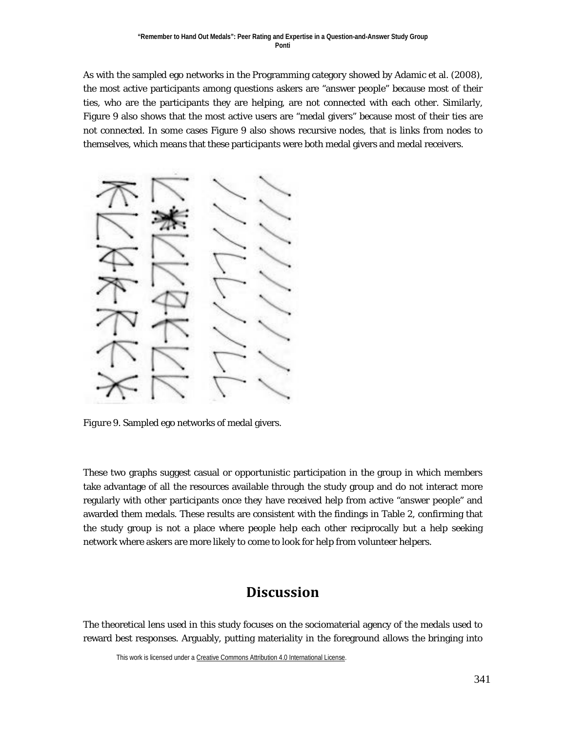As with the sampled ego networks in the Programming category showed by Adamic et al. (2008), the most active participants among questions askers are "answer people" because most of their ties, who are the participants they are helping, are not connected with each other. Similarly, Figure 9 also shows that the most active users are "medal givers" because most of their ties are not connected. In some cases Figure 9 also shows recursive nodes, that is links from nodes to themselves, which means that these participants were both medal givers and medal receivers.



*Figure 9.* Sampled ego networks of medal givers.

These two graphs suggest casual or opportunistic participation in the group in which members take advantage of all the resources available through the study group and do not interact more regularly with other participants once they have received help from active "answer people" and awarded them medals. These results are consistent with the findings in Table 2, confirming that the study group is not a place where people help each other reciprocally but a help seeking network where askers are more likely to come to look for help from volunteer helpers.

### **Discussion**

The theoretical lens used in this study focuses on the sociomaterial agency of the medals used to reward best responses. Arguably, putting materiality in the foreground allows the bringing into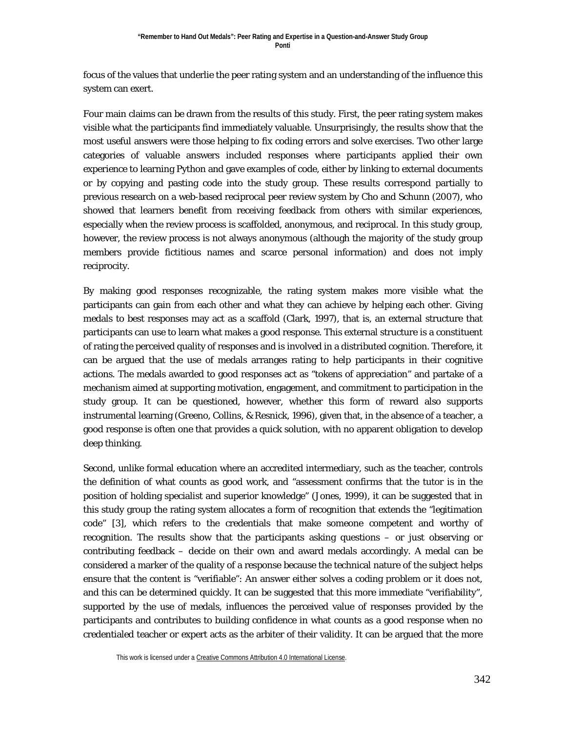focus of the values that underlie the peer rating system and an understanding of the influence this system can exert.

Four main claims can be drawn from the results of this study. First, the peer rating system makes visible what the participants find immediately valuable. Unsurprisingly, the results show that the most useful answers were those helping to fix coding errors and solve exercises. Two other large categories of valuable answers included responses where participants applied their own experience to learning Python and gave examples of code, either by linking to external documents or by copying and pasting code into the study group. These results correspond partially to previous research on a web-based reciprocal peer review system by Cho and Schunn (2007), who showed that learners benefit from receiving feedback from others with similar experiences, especially when the review process is scaffolded, anonymous, and reciprocal. In this study group, however, the review process is not always anonymous (although the majority of the study group members provide fictitious names and scarce personal information) and does not imply reciprocity.

By making good responses recognizable, the rating system makes more visible what the participants can gain from each other and what they can achieve by helping each other. Giving medals to best responses may act as a scaffold (Clark, 1997), that is, an external structure that participants can use to learn what makes a good response. This external structure is a constituent of rating the perceived quality of responses and is involved in a distributed cognition. Therefore, it can be argued that the use of medals arranges rating to help participants in their cognitive actions. The medals awarded to good responses act as "tokens of appreciation" and partake of a mechanism aimed at supporting motivation, engagement, and commitment to participation in the study group. It can be questioned, however, whether this form of reward also supports instrumental learning (Greeno, Collins, & Resnick, 1996), given that, in the absence of a teacher, a good response is often one that provides a quick solution, with no apparent obligation to develop deep thinking.

Second, unlike formal education where an accredited intermediary, such as the teacher, controls the definition of what counts as good work, and "assessment confirms that the tutor is in the position of holding specialist and superior knowledge" (Jones, 1999), it can be suggested that in this study group the rating system allocates a form of recognition that extends the "legitimation code" [3], which refers to the credentials that make someone competent and worthy of recognition. The results show that the participants asking questions – or just observing or contributing feedback – decide on their own and award medals accordingly. A medal can be considered a marker of the quality of a response because the technical nature of the subject helps ensure that the content is "verifiable": An answer either solves a coding problem or it does not, and this can be determined quickly. It can be suggested that this more immediate "verifiability", supported by the use of medals, influences the perceived value of responses provided by the participants and contributes to building confidence in what counts as a good response when no credentialed teacher or expert acts as the arbiter of their validity. It can be argued that the more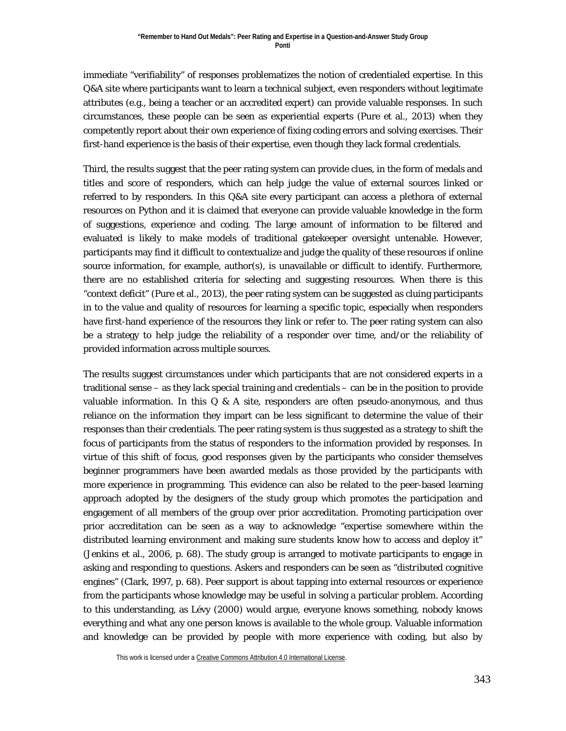immediate "verifiability" of responses problematizes the notion of credentialed expertise. In this Q&A site where participants want to learn a technical subject, even responders without legitimate attributes (e.g., being a teacher or an accredited expert) can provide valuable responses. In such circumstances, these people can be seen as experiential experts (Pure et al., 2013) when they competently report about their own experience of fixing coding errors and solving exercises. Their first-hand experience is the basis of their expertise, even though they lack formal credentials.

Third, the results suggest that the peer rating system can provide clues, in the form of medals and titles and score of responders, which can help judge the value of external sources linked or referred to by responders. In this Q&A site every participant can access a plethora of external resources on Python and it is claimed that everyone can provide valuable knowledge in the form of suggestions, experience and coding. The large amount of information to be filtered and evaluated is likely to make models of traditional gatekeeper oversight untenable. However, participants may find it difficult to contextualize and judge the quality of these resources if online source information, for example, author(s), is unavailable or difficult to identify. Furthermore, there are no established criteria for selecting and suggesting resources. When there is this "context deficit" (Pure et al., 2013), the peer rating system can be suggested as cluing participants in to the value and quality of resources for learning a specific topic, especially when responders have first-hand experience of the resources they link or refer to. The peer rating system can also be a strategy to help judge the reliability of a responder over time, and/or the reliability of provided information across multiple sources.

The results suggest circumstances under which participants that are not considered experts in a traditional sense – as they lack special training and credentials – can be in the position to provide valuable information. In this  $Q \& A$  site, responders are often pseudo-anonymous, and thus reliance on the information they impart can be less significant to determine the value of their responses than their credentials. The peer rating system is thus suggested as a strategy to shift the focus of participants from the status of responders to the information provided by responses. In virtue of this shift of focus, good responses given by the participants who consider themselves beginner programmers have been awarded medals as those provided by the participants with more experience in programming. This evidence can also be related to the peer-based learning approach adopted by the designers of the study group which promotes the participation and engagement of all members of the group over prior accreditation. Promoting participation over prior accreditation can be seen as a way to acknowledge "expertise somewhere within the distributed learning environment and making sure students know how to access and deploy it" (Jenkins et al., 2006, p. 68). The study group is arranged to motivate participants to engage in asking and responding to questions. Askers and responders can be seen as "*distributed* cognitive engines" (Clark, 1997, p. 68). Peer support is about tapping into external resources or experience from the participants whose knowledge may be useful in solving a particular problem. According to this understanding, as Lévy (2000) would argue, everyone knows something, nobody knows everything and what any one person knows is available to the whole group. Valuable information and knowledge can be provided by people with more experience with coding, but also by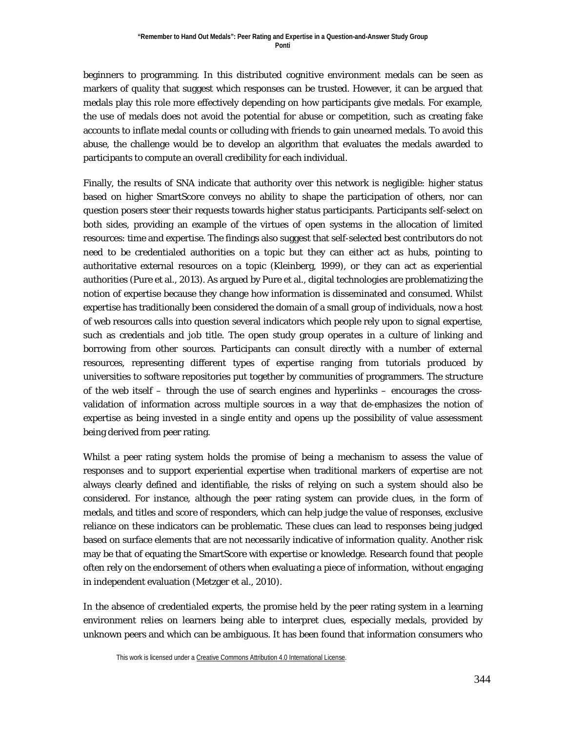beginners to programming. In this distributed cognitive environment medals can be seen as markers of quality that suggest which responses can be trusted. However, it can be argued that medals play this role more effectively depending on how participants give medals. For example, the use of medals does not avoid the potential for abuse or competition, such as creating fake accounts to inflate medal counts or colluding with friends to gain unearned medals. To avoid this abuse, the challenge would be to develop an algorithm that evaluates the medals awarded to participants to compute an overall credibility for each individual.

Finally, the results of SNA indicate that authority over this network is negligible: higher status based on higher SmartScore conveys no ability to shape the participation of others, nor can question posers steer their requests towards higher status participants. Participants self-select on both sides, providing an example of the virtues of open systems in the allocation of limited resources: time and expertise. The findings also suggest that self-selected best contributors do not need to be credentialed authorities on a topic but they can either act as hubs, pointing to authoritative external resources on a topic (Kleinberg, 1999), or they can act as experiential authorities (Pure et al., 2013). As argued by Pure et al., digital technologies are problematizing the notion of expertise because they change how information is disseminated and consumed. Whilst expertise has traditionally been considered the domain of a small group of individuals, now a host of web resources calls into question several indicators which people rely upon to signal expertise, such as credentials and job title. The open study group operates in a culture of linking and borrowing from other sources. Participants can consult directly with a number of external resources, representing different types of expertise ranging from tutorials produced by universities to software repositories put together by communities of programmers. The structure of the web itself – through the use of search engines and hyperlinks – encourages the crossvalidation of information across multiple sources in a way that de-emphasizes the notion of expertise as being invested in a single entity and opens up the possibility of value assessment being derived from peer rating.

Whilst a peer rating system holds the promise of being a mechanism to assess the value of responses and to support experiential expertise when traditional markers of expertise are not always clearly defined and identifiable, the risks of relying on such a system should also be considered. For instance, although the peer rating system can provide clues, in the form of medals, and titles and score of responders, which can help judge the value of responses, exclusive reliance on these indicators can be problematic. These clues can lead to responses being judged based on surface elements that are not necessarily indicative of information quality. Another risk may be that of equating the SmartScore with expertise or knowledge. Research found that people often rely on the endorsement of others when evaluating a piece of information, without engaging in independent evaluation (Metzger et al., 2010).

In the absence of credentialed experts, the promise held by the peer rating system in a learning environment relies on learners being able to interpret clues, especially medals, provided by unknown peers and which can be ambiguous. It has been found that information consumers who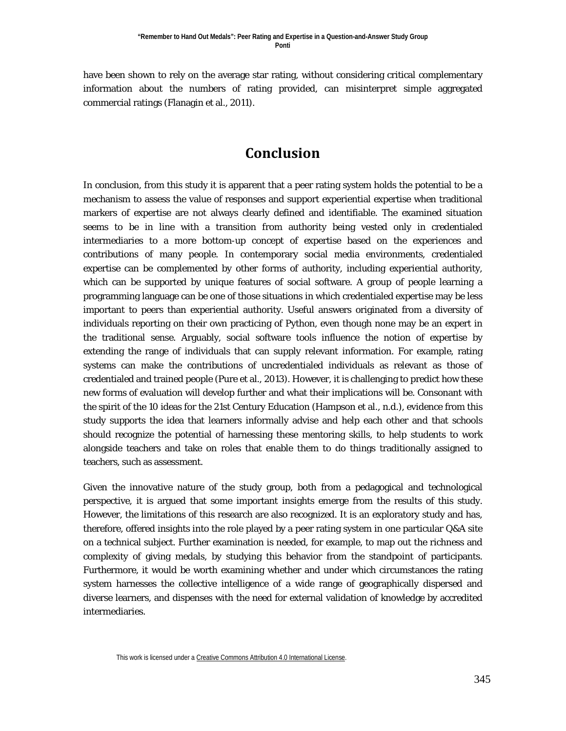have been shown to rely on the average star rating, without considering critical complementary information about the numbers of rating provided, can misinterpret simple aggregated commercial ratings (Flanagin et al*.*, 2011).

### **Conclusion**

In conclusion, from this study it is apparent that a peer rating system holds the potential to be a mechanism to assess the value of responses and support experiential expertise when traditional markers of expertise are not always clearly defined and identifiable. The examined situation seems to be in line with a transition from authority being vested only in credentialed intermediaries to a more bottom-up concept of expertise based on the experiences and contributions of many people. In contemporary social media environments, credentialed expertise can be complemented by other forms of authority, including experiential authority, which can be supported by unique features of social software. A group of people learning a programming language can be one of those situations in which credentialed expertise may be less important to peers than experiential authority. Useful answers originated from a diversity of individuals reporting on their own practicing of Python, even though none may be an expert in the traditional sense. Arguably, social software tools influence the notion of expertise by extending the range of individuals that can supply relevant information. For example, rating systems can make the contributions of uncredentialed individuals as relevant as those of credentialed and trained people (Pure et al., 2013). However, it is challenging to predict how these new forms of evaluation will develop further and what their implications will be. Consonant with the spirit of the 10 ideas for the 21st Century Education (Hampson et al., n.d.), evidence from this study supports the idea that learners informally advise and help each other and that schools should recognize the potential of harnessing these mentoring skills, to help students to work alongside teachers and take on roles that enable them to do things traditionally assigned to teachers, such as assessment.

Given the innovative nature of the study group, both from a pedagogical and technological perspective, it is argued that some important insights emerge from the results of this study. However, the limitations of this research are also recognized. It is an exploratory study and has, therefore, offered insights into the role played by a peer rating system in one particular Q&A site on a technical subject. Further examination is needed, for example, to map out the richness and complexity of giving medals, by studying this behavior from the standpoint of participants. Furthermore, it would be worth examining whether and under which circumstances the rating system harnesses the collective intelligence of a wide range of geographically dispersed and diverse learners, and dispenses with the need for external validation of knowledge by accredited intermediaries.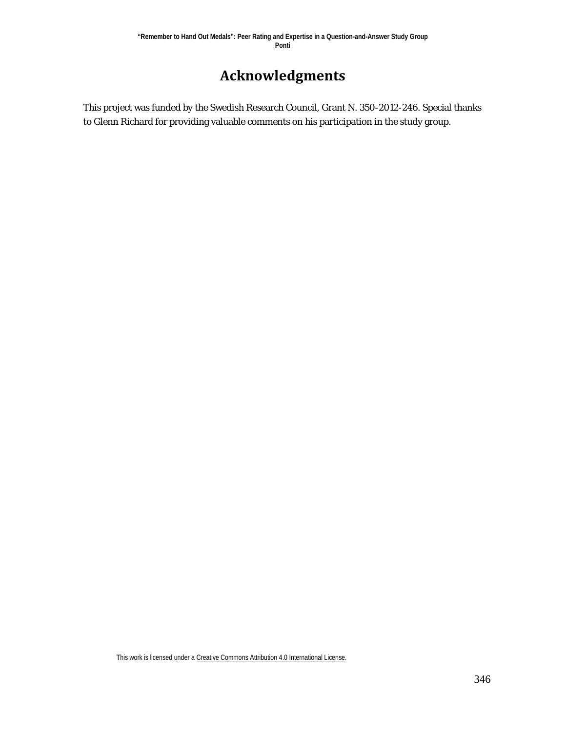## **Acknowledgments**

This project was funded by the Swedish Research Council, Grant N. 350-2012-246. Special thanks to Glenn Richard for providing valuable comments on his participation in the study group.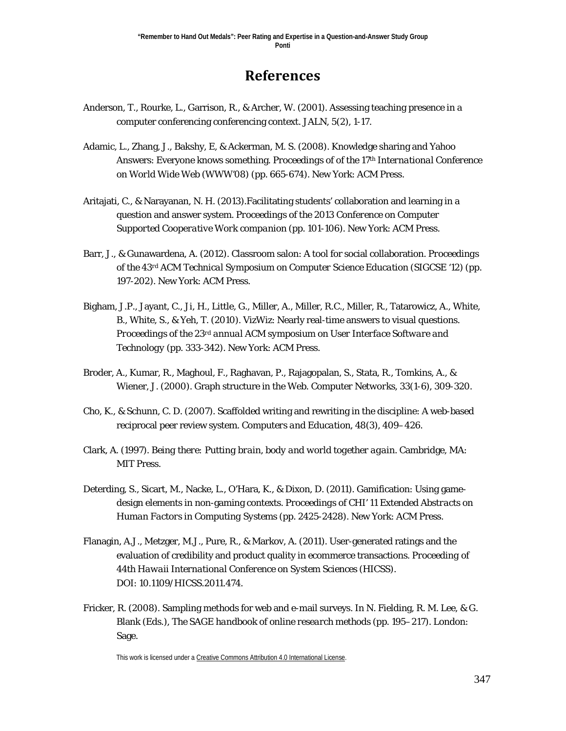### **References**

- Anderson, T., Rourke, L., Garrison, R., & Archer, W. (2001). Assessing teaching presence in a computer conferencing conferencing context. *JALN,* 5(2), 1-17.
- Adamic, L., Zhang, J., Bakshy, E, & Ackerman, M. S. (2008). Knowledge sharing and Yahoo Answers: Everyone knows something. *Proceedings of of the 17th International Conference on World Wide Web (WWW'08)* (pp. 665-674). New York: ACM Press.
- Aritajati, C., & Narayanan, N. H. (2013).Facilitating students' collaboration and learning in a question and answer system. *Proceedings of the 2013 Conference on Computer Supported Cooperative Work companion* (pp. 101-106). New York: ACM Press.
- Barr, J., & Gunawardena, A. (2012). Classroom salon: A tool for social collaboration. *Proceedings of the 43rd ACM Technical Symposium on Computer Science Education (SIGCSE '12)* (pp. 197-202)*.* New York: ACM Press.
- Bigham, J.P., Jayant, C., Ji, H., Little, G., Miller, A., Miller, R.C., Miller, R., Tatarowicz, A., White, B., White, S., & Yeh, T. (2010). VizWiz: Nearly real-time answers to visual questions. *Proceedings of the 23rd annual ACM symposium on User Interface Software and Technology* (pp. 333-342). New York: ACM Press.
- Broder, A., Kumar, R., Maghoul, F., Raghavan, P., Rajagopalan, S., Stata, R., Tomkins, A., & Wiener, J. (2000). Graph structure in the Web. *Computer Networks,* 33(1-6), 309-320.
- Cho, K., & Schunn, C. D. (2007). Scaffolded writing and rewriting in the discipline: A web-based reciprocal peer review system. *Computers and Education*, 48(3), 409–426.
- Clark, A. (1997). *Being there: Putting brain, body and world together again*. Cambridge, MA: MIT Press.
- Deterding, S., Sicart, M., Nacke, L., O'Hara, K., & Dixon, D. (2011). Gamification: Using gamedesign elements in non-gaming contexts. *Proceedings of CHI' 11 Extended Abstracts on Human Factors in Computing Systems* (pp. 2425-2428). New York: ACM Press.
- Flanagin, A.J., Metzger, M.J., Pure, R., & Markov, A. (2011). User-generated ratings and the evaluation of credibility and product quality in ecommerce transactions. *Proceeding of 44th Hawaii International Conference on System Sciences (HICSS)*. DOI: 10.1109/HICSS.2011.474.
- Fricker, R. (2008). Sampling methods for web and e-mail surveys. In N. Fielding, R. M. Lee, & G. Blank (Eds.), *The SAGE handbook of online research methods* (pp. 195–217). London: Sage.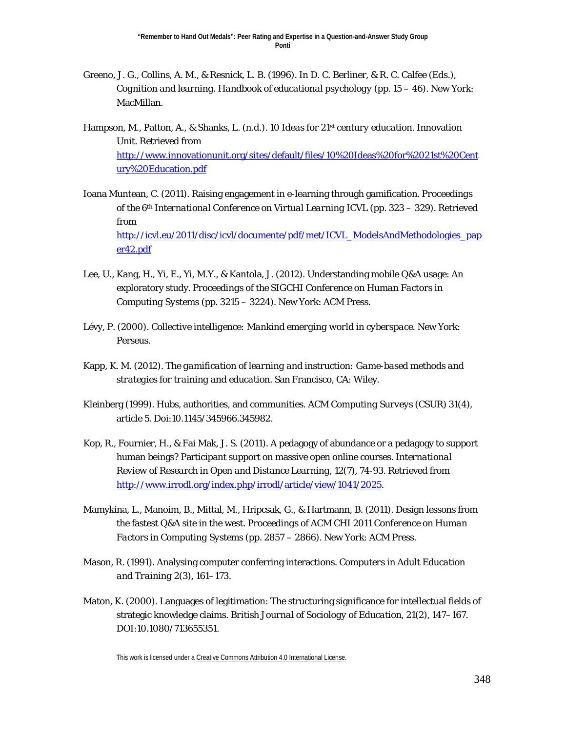- Greeno, J. G., Collins, A. M., & Resnick, L. B. (1996). In D. C. Berliner, & R. C. Calfee (Eds.)*, Cognition and learning. Handbook of educational psychology* (pp. 15 – 46). New York: MacMillan.
- Hampson, M., Patton, A., & Shanks, L. (n.d.). *10 Ideas for 21st century education*. Innovation Unit. Retrieved from [http://www.innovationunit.org/sites/default/files/10%20Ideas%20for%2021st%20Cent](http://www.innovationunit.org/sites/default/files/10%20Ideas%20for%2021st%20Century%20Education.pdf) [ury%20Education.pdf](http://www.innovationunit.org/sites/default/files/10%20Ideas%20for%2021st%20Century%20Education.pdf)
- Ioana Muntean, C. (2011). Raising engagement in e-learning through gamification. *Proceedings of the 6th International Conference on Virtual Learning ICVL* (pp. 323 – 329). Retrieved from [http://icvl.eu/2011/disc/icvl/documente/pdf/met/ICVL\\_ModelsAndMethodologies\\_pap](http://icvl.eu/2011/disc/icvl/documente/pdf/met/ICVL_ModelsAndMethodologies_paper42.pdf) [er42.pdf](http://icvl.eu/2011/disc/icvl/documente/pdf/met/ICVL_ModelsAndMethodologies_paper42.pdf)
- Lee, U., Kang, H., Yi, E., Yi, M.Y., & Kantola, J. (2012). Understanding mobile Q&A usage: An exploratory study. *Proceedings of the SIGCHI Conference on Human Factors in Computing Systems* (pp. 3215 – 3224). New York: ACM Press.
- Lévy, P. (2000). *Collective intelligence: Mankind emerging world in cyberspace.* New York: Perseus.
- Kapp, K. M. (2012). *The gamification of learning and instruction: Game-based methods and strategies for training and education*. San Francisco, CA: Wiley.
- Kleinberg (1999). Hubs, authorities, and communities. *ACM Computing Surveys (CSUR) 31*(4), article 5. Doi:10.1145/345966.345982.
- Kop, R., Fournier, H., & Fai Mak, J. S. (2011). A pedagogy of abundance or a pedagogy to support human beings? Participant support on massive open online courses. *International Review of Research in Open and Distance Learning, 12*(7), 74-93. Retrieved from [http://www.irrodl.org/index.php/irrodl/article/view/1041/2025.](http://www.irrodl.org/index.php/irrodl/article/view/1041/2025)
- Mamykina, L., Manoim, B., Mittal, M., Hripcsak, G., & Hartmann, B. (2011). Design lessons from the fastest Q&A site in the west. *Proceedings of ACM CHI 2011 Conference on Human Factors in Computing Systems* (pp. 2857 – 2866). New York: ACM Press.
- Mason, R. (1991). Analysing computer conferring interactions. *Computers in Adult Education and Training* 2(3), 161–173.
- Maton, K. (2000). Languages of legitimation: The structuring significance for intellectual fields of strategic knowledge claims. *British Journal of Sociology of Education*, *21*(2), 147–167. DOI:10.1080/713655351.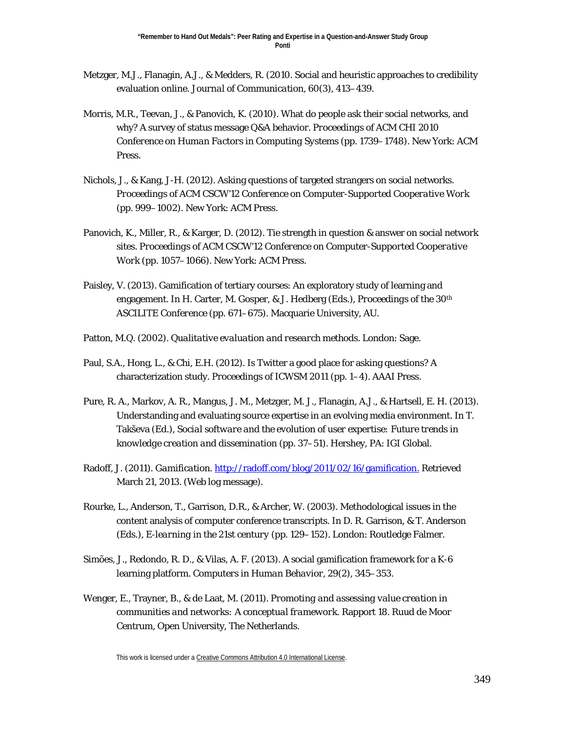- Metzger, M.J., Flanagin, A.J., & Medders, R. (2010. Social and heuristic approaches to credibility evaluation online. *Journal of Communication, 60*(3), 413–439.
- Morris, M.R., Teevan, J., & Panovich, K. (2010). What do people ask their social networks, and why? A survey of status message Q&A behavior. *Proceedings of ACM CHI 2010 Conference on Human Factors in Computing Systems* (pp. 1739–1748). New York: ACM Press.
- Nichols, J., & Kang, J-H. (2012). Asking questions of targeted strangers on social networks. *Proceedings of ACM CSCW'12 Conference on Computer-Supported Cooperative Work* (pp. 999–1002). New York: ACM Press.
- Panovich, K., Miller, R., & Karger, D. (2012). Tie strength in question & answer on social network sites. *Proceedings of ACM CSCW'12 Conference on Computer-Supported Cooperative Work* (pp. 1057–1066). New York: ACM Press.
- Paisley, V. (2013). Gamification of tertiary courses: An exploratory study of learning and engagement. In H. Carter, M. Gosper, & J. Hedberg (Eds.), *Proceedings of the 30th ASCILITE Conference* (pp. 671–675). Macquarie University, AU.
- Patton, M.Q. (2002). *Qualitative evaluation and research methods*. London: Sage.
- Paul, S.A., Hong, L., & Chi, E.H. (2012). Is Twitter a good place for asking questions? A characterization study. *Proceedings of ICWSM 2011* (pp. 1–4). AAAI Press.
- Pure, R. A., Markov, A. R., Mangus, J. M., Metzger, M. J., Flanagin, A.J., & Hartsell, E. H. (2013). Understanding and evaluating source expertise in an evolving media environment. In T. Takševa (Ed.), *Social software and the evolution of user expertise: Future trends in knowledge creation and dissemination* (pp. 37–51). Hershey, PA: IGI Global.
- Radoff, J. (2011). *Gamification*. [http://radoff.com/blog/2011/02/16/gamification.](http://radoff.com/blog/2011/02/16/gamification) Retrieved March 21, 2013. (Web log message).
- Rourke, L., Anderson, T., Garrison, D.R., & Archer, W. (2003). Methodological issues in the content analysis of computer conference transcripts. In D. R. Garrison, & T. Anderson (Eds.), *E-learning in the 21st century* (pp. 129–152). London: Routledge Falmer.
- Simões, J., Redondo, R. D., & Vilas, A. F. (2013). A social gamification framework for a K-6 learning platform. *Computers in Human Behavior, 29*(2), 345–353.
- Wenger, E., Trayner, B., & de Laat, M. (2011). *Promoting and assessing value creation in communities and networks: A conceptual framework*. Rapport 18. Ruud de Moor Centrum, Open University, The Netherlands.

This work is licensed under [a Creative Commons Attribution 4.0 International License.](http://creativecommons.org/licenses/by/4.0/)